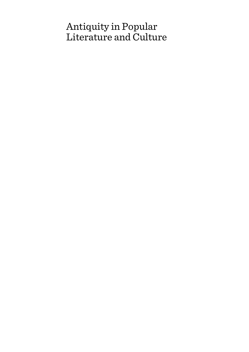# Antiquity in Popular Literature and Culture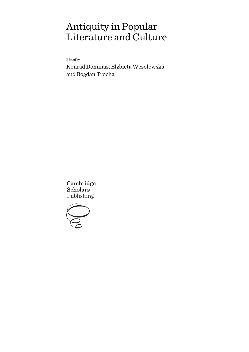# Antiquity in Popular Literature and Culture

Edited by

Konrad Dominas, Elżbieta Wesołowska and Bogdan Trocha

Cambridge **Scholars** Publishing

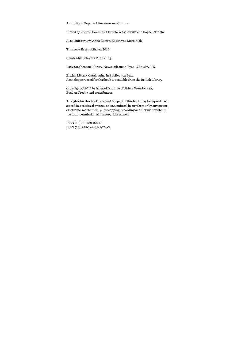Antiquity in Popular Literature and Culture

Edited by Konrad Dominas, Elżbieta Wesołowska and Bogdan Trocha

Academic review: Anna Gemra, Katarzyna Marciniak

This book first published 2016

Cambridge Scholars Publishing

Lady Stephenson Library, Newcastle upon Tyne, NE6 2PA, UK

British Library Cataloguing in Publication Data A catalogue record for this book is available from the British Library

Copyright © 2016 by Konrad Dominas, Elżbieta Wesołowska, Bogdan Trocha and contributors

All rights for this book reserved. No part of this book may be reproduced, stored in a retrieval system, or transmitted, in any form or by any means, electronic, mechanical, photocopying, recording or otherwise, without the prior permission of the copyright owner.

ISBN (10): 1-4438-9024-3 ISBN (13): 978-1-4438-9024-3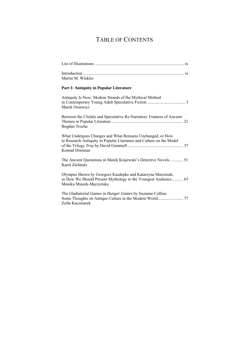## TABLE OF CONTENTS

| Martin M. Winkler                                                                                                                                          |
|------------------------------------------------------------------------------------------------------------------------------------------------------------|
| <b>Part I: Antiquity in Popular Literature</b>                                                                                                             |
| Antiquity Is Now: Modern Strands of the Mythical Method<br>Marek Oziewicz                                                                                  |
| Between the Clichés and Speculative Re-Narration: Features of Ancient<br>Bogdan Trocha                                                                     |
| What Undergoes Changes and What Remains Unchanged, or How<br>to Research Antiquity in Popular Literature and Culture on the Model<br><b>Konrad Dominas</b> |
| Karol Zieliński                                                                                                                                            |
| Olympus Shown by Grzegorz Kasdepke and Katarzyna Marciniak,<br>or How We Should Present Mythology to the Youngest Audience 65<br>Monika Miazek-Męczyńska   |
| The Gladiatorial Games in <i>Hunger Games</i> by Suzanne Collins:<br>Zofia Kaczmarek                                                                       |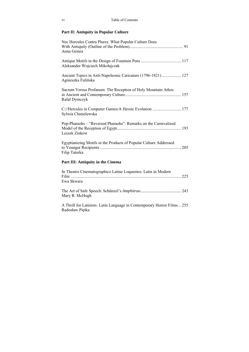#### Part II: Antiquity in Popular Culture

| Nec Hercules Contra Plures: What Popular Culture Does<br>Anna Gemra                 |
|-------------------------------------------------------------------------------------|
| Aleksander Wojciech Mikołajczak                                                     |
| Ancient Topics in Anti-Napoleonic Caricature (1796-1821)  127<br>Agnieszka Fulińska |
| Sacrum Versus Profanum: The Reception of Holy Mountain Athos<br>Rafał Dymczyk       |
| C://Hercules in Computer Games/A Heroic Evolution  177<br>Sylwia Chmielewska        |
| Pop-Pharaohs - "Reversed Pharaohs": Remarks on the Carnivalized<br>Leszek Zinkow    |
| Egyptianizing Motifs in the Products of Popular Culture Addressed<br>Filip Taterka  |
| Part III: Antiquity in the Cinema                                                   |
| In Theatro Cinematographico Latine Loquentes: Latin in Modern<br>Ewa Skwara         |
| Mary R. McHugh                                                                      |

A Thrill for Latinists: Latin Language in Contemporary Horror Films... 255 Radosław Piętka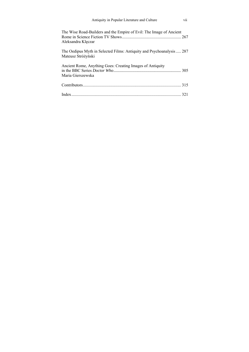| Antiquity in Popular Literature and Culture                                                 | V11 |
|---------------------------------------------------------------------------------------------|-----|
| The Wise Road-Builders and the Empire of Evil: The Image of Ancient<br>Aleksandra Kleczar   |     |
| The Oedipus Myth in Selected Films: Antiquity and Psychoanalysis  287<br>Mateusz Stróżyński |     |
| Ancient Rome, Anything Goes: Creating Images of Antiquity<br>Maria Gierszewska              |     |
|                                                                                             |     |
|                                                                                             |     |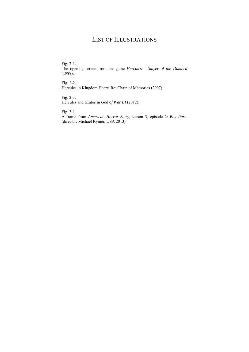### LIST OF ILLUSTRATIONS

Fig. 2-1.

The opening screen from the game *Hercules – Slayer of the Damned* (1988).

Fig. 2-2. Hercules in Kingdom Hearts Re: Chain of Memories (2007).

Fig. 2-3. Hercules and Kratos in *God of War III* (2012).

Fig. 3-1.

A frame from *American Horror Story*, season 3, episode 2: *Boy Parts* (director: Michael Rymer, USA 2013).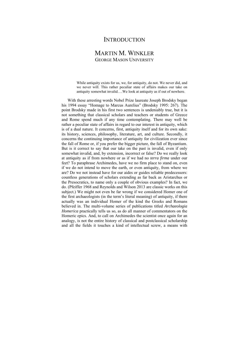### **INTRODUCTION**

### MARTIN M. WINKLER GEORGE MASON UNIVERSITY

While antiquity exists for us, we, for antiquity, do not. We never did, and we never will. This rather peculiar state of affairs makes our take on antiquity somewhat invalid….We look at antiquity as if out of nowhere.

 With these arresting words Nobel Prize laureate Joseph Brodsky began his 1994 essay "Homage to Marcus Aurelius" (Brodsky 1995: 267). The point Brodsky made in his first two sentences is undeniably true, but it is not something that classical scholars and teachers or students of Greece and Rome spend much if any time contemplating. There may well be rather a peculiar state of affairs in regard to our interest in antiquity, which is of a dual nature. It concerns, first, antiquity itself and for its own sake: its history, sciences, philosophy, literature, art, and culture. Secondly, it concerns the continuing importance of antiquity for civilization ever since the fall of Rome or, if you prefer the bigger picture, the fall of Byzantium. But is it correct to say that our take on the past is invalid, even if only somewhat invalid, and, by extension, incorrect or false? Do we really look at antiquity as if from nowhere or as if we had no *terra firma* under our feet? To paraphrase Archimedes, have we no firm place to stand on, even if we do not intend to move the earth, or even antiquity, from where we are? Do we not instead have for our aides or guides reliable predecessors: countless generations of scholars extending as far back as Aristarchus or the Presocratics, to name only a couple of obvious examples? In fact, we do. (Pfeiffer 1968 and Reynolds and Wilson 2013 are classic works on this subject.) We might not even be far wrong if we considered Homer one of the first archaeologists (in the term's literal meaning) of antiquity, if there actually was an individual Homer of the kind the Greeks and Romans believed in. The multi-volume series of publications titled *Archaeologia Homerica* practically tells us so, as do all manner of commentators on the Homeric epics. And, to call on Archimedes the scientist once again for an analogy, is not the entire history of classical and postclassical scholarship and all the fields it touches a kind of intellectual screw, a means with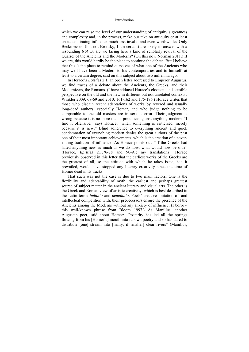#### xii Introduction

which we can raise the level of our understanding of antiquity's greatness and complexity and, in the process, make our take on antiquity or at least on its continuing influence much less invalid and even worthwhile? Only Beckmessers (but not Brodsky, I am certain) are likely to answer with a resounding *No!* Or are we facing here a kind of scholarly revival of the Quarrel of the Ancients and the Moderns? (On this now Norman 2011.) If we are, this would hardly be the place to continue the debate. But I believe that this *is* the place to remind ourselves of what one of the Ancients who may well have been a Modern to his contemporaries and to himself, at least to a certain degree, said on this subject about two millennia ago.

 In Horace's *Epistles* 2.1, an open letter addressed to Emperor Augustus, we find traces of a debate about the Ancients, the Greeks, and their Modernizers, the Romans. (I have adduced Horace's eloquent and sensible perspective on the old and the new in different but not unrelated contexts : Winkler 2009: 68-69 and 2010: 161-162 and 175-176.) Horace writes that those who disdain recent adaptations of works by revered and usually long-dead authors, especially Homer, and who judge nothing to be comparable to the old masters are in serious error. Their judgment is wrong because it is no more than a prejudice against anything modern. "I find it offensive," says Horace, "when something is criticized...merely because it is new." Blind adherence to everything ancient and quick condemnation of everything modern denies the great authors of the past one of their most important achievements, which is the creation of a neverending tradition of influence. As Horace points out: "If the Greeks had hated anything new as much as we do now, what would now be old?" (Horace, *Epistles* 2.1.76-78 and 90-91; my translations). Horace previously observed in this letter that the earliest works of the Greeks are the greatest of all, so the attitude with which he takes issue, had it prevailed, would have stopped any literary creativity since the time of Homer dead in its tracks.

 That such was not the case is due to two main factors. One is the flexibility and adaptability of myth, the earliest and perhaps greatest source of subject matter in the ancient literary and visual arts. The other is the Greek and Roman view of artistic creativity, which is best described in the Latin terms *imitatio* and *aemulatio*. Poets' creative imitation of, and intellectual competition with, their predecessors ensure the presence of the Ancients among the Moderns without any anxiety of influence. (I borrow this well-known phrase from Bloom 1997.) As Manilius, another Augustan poet, said about Homer: "Posterity has led all the springs flowing from his [Homer's] mouth into its own poetry and so has dared to distribute [one] stream into [many, if smaller] clear rivers" (Manilius,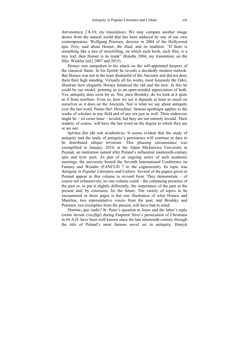*Astronomica* 2.8-10; my translation). We may compare another image drawn from the natural world that has been adduced by one of our own contemporaries. Wolfgang Petersen, director in 2004 of the Hollywood epic *Troy*, said about Homer, the *Iliad*, and its tradition: "If there is something like a tree of storytelling, on which each book, each film, is a tiny leaf, then Homer is its trunk" (Kniebe 2004, my translation; on the film: Winkler [ed.] 2007 and 2015).

 Horace was outspoken in his attack on the self-appointed keepers of the classical flame. In his *Epistle* he reveals a decidedly modern outlook. But Horace was not in the least disdainful of the Ancients and did not deny them their high standing. Virtually all his works, most famously the *Odes*, illustrate how elegantly Horace balanced the old and the new. In this he could be our model, pointing us to an open-minded appreciation of both. Yes, antiquity does exist for us. Nor, *pace* Brodsky, do we look at it quite as if from nowhere. Even so, how we see it depends at least as much on ourselves as it does on the Ancients. Nor is what we say about antiquity ever the last word. *Panta rhei*: Heraclitus' famous apothegm applies to the works of scholars in any field and of any era just as well. Their endeavors might be – *sit venia lusui* – invalid, but they are not entirely invalid. Their readers, of course, will have the last word on the degree to which they are or are not.

*Spiritus flat ubi vult academicus*. It seems evident that the study of antiquity and the study of antiquity's persistence will continue to dare to be distributed *ubique terrarum*. This pleasing circumstance was exemplified in January, 2014, at the Adam Mickiewicz University in Poznań, an institution named after Poland's influential nineteenth-century epic and lyric poet. As part of an ongoing series of such academic meetings, the university hosted the Seventh International Conference on Fantasy and Wonder (FANCUD 7 to the cognoscenti). Its topic was *Antiquity in Popular Literature and Culture*. Several of the papers given in Poznań appear in this volume in revised form. They demonstrate – of course not exhaustively; no one volume could – the continuing presence of the past or, to put it slightly differently, the importance of the past in the present and, by extension, for the future. The variety of topics to be encountered in these pages is but one illustration of what Horace and Manilius, two representative voices from the past, and Brodsky and Petersen, two exemplars from the present, will have had in mind.

 *Domine, quo vadis?* St. Peter's question to Jesus and the latter's reply (*venio iterum crucifigi*) during Emperor Nero's persecution of Christians in 64 A.D. have been well known since the late nineteenth century through the title of Poland's most famous novel set in antiquity, Henryk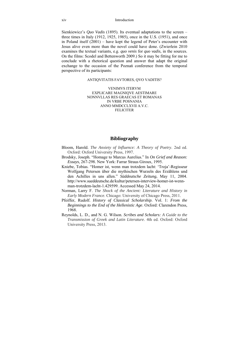Sienkiewicz's *Quo Vadis* (1895). Its eventual adaptations to the screen – three times in Italy (1912, 1925, 1985), once in the U.S. (1951), and once in Poland itself (2001) – have kept the legend of Peter's encounter with Jesus alive even more than the novel could have done. (Zwierlein 2010 examines the textual variants, e.g. *quo venis* for *quo vadis*, in the sources. On the films: Scodel and Bettenworth 2009.) So it may be fitting for me to conclude with a rhetorical question and answer that adapt the original exchange to the occasion of the Poznań conference from the temporal perspective of its participants:

#### ANTIQVITATIS FAVTORES, QVO VADITIS?

VENIMVS ITERVM EXPLICARE MAGNIQVE AESTIMARE NONNVLLAS RES GRAECAS ET ROMANAS IN VRBE POSNANIA ANNO MMDCCLXVII A.V.C. **FELICITER** 

#### **Bibliography**

- Bloom, Harold. *The Anxiety of Influence: A Theory of Poetry*. 2nd ed. Oxford: Oxford University Press, 1997.
- Brodsky, Joseph. "Homage to Marcus Aurelius." In *On Grief and Reason: Essays*, 267-298. New York: Farrar Straus Giroux, 1995.
- Kniebe, Tobias. "Homer ist, wenn man trotzdem lacht: 'Troja'-Regisseur Wolfgang Petersen über die mythischen Wurzeln des Erzählens und den Achilles in uns allen." *Süddeutsche Zeitung*, May 11, 2004. http://www.sueddeutsche.de/kultur/petersen-interview-homer-ist-wennman-trotzdem-lacht-1.429599. Accessed May 24, 2014.
- Norman, Larry F. *The Shock of the Ancient: Literature and History in Early Modern France*. Chicago: University of Chicago Press, 2011.
- Pfeiffer, Rudolf. *History of Classical Scholarship*. Vol. 1: *From the Beginnings to the End of the Hellenistic Age*. Oxford: Clarendon Press, 1968.
- Reynolds, L. D., and N. G. Wilson. *Scribes and Scholars: A Guide to the Transmission of Greek and Latin Literature*. 4th ed. Oxford: Oxford University Press, 2013.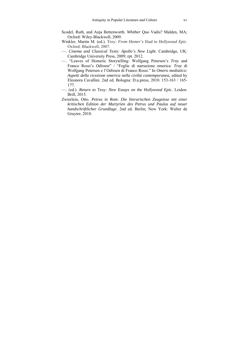- Scodel, Ruth, and Anja Bettenworth. *Whither* Quo Vadis? Malden, MA; Oxford: Wiley-Blackwell, 2009.
- Winkler, Martin M. (ed.). Troy*: From Homer's* Iliad *to Hollywood Epic*. Oxford: Blackwell, 2007.
- —. *Cinema and Classical Texts: Apollo's New Light*. Cambridge, UK: Cambridge University Press, 2009; rpt. 2012.
- —. "Leaves of Homeric Storytelling: Wolfgang Petersen's *Troy* and Franco Rossi's *Odissea*" / "Foglie di narrazione omerica: *Troy* di Wolfgang Petersen e l'*Odissea* di Franco Rossi." In *Omero mediatico: Aspetti della ricezione omerica nella civiltà contemporanea*, edited by Eleonora Cavallini. 2nd ed. Bologna: D.u.press, 2010. 153-163 / 165- 177.
- —. (ed.). *Return to* Troy*: New Essays on the Hollywood Epic*. Leiden: Brill, 2015.
- Zwierlein, Otto. *Petrus in Rom: Die literarischen Zeugnisse mit einer kritischen Edition der Martyrien des Petrus und Paulus auf neuer handschriftlicher Grundlage*. 2nd ed. Berlin; New York: Walter de Gruyter, 2010.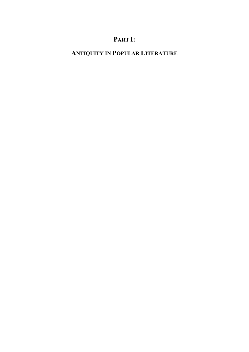## **PART I:**

# **ANTIQUITY IN POPULAR LITERATURE**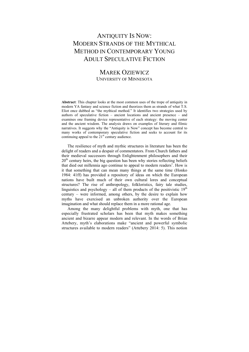### ANTIQUITY IS NOW: MODERN STRANDS OF THE MYTHICAL METHOD IN CONTEMPORARY YOUNG ADULT SPECULATIVE FICTION

### MAREK OZIEWICZ UNIVERSITY OF MINNESOTA

**Abstract**: This chapter looks at the most common uses of the trope of antiquity in modern YA fantasy and science fiction and theorizes them as strands of what T.S. Eliot once dubbed as "the mythical method." It identifies two strategies used by authors of speculative fiction – ancient locations and ancient presence – and examines one framing device representative of each strategy: the moving center and the ancient wisdom. The analysis draws on examples of literary and filmic narratives. It suggests why the "Antiquity is Now" concept has become central to many works of contemporary speculative fiction and seeks to account for its continuing appeal to the  $21<sup>st</sup>$  century audience.

The resilience of myth and mythic structures in literature has been the delight of readers and a despair of commentators. From Church fathers and their medieval successors through Enlightenment philosophers and their  $20<sup>th</sup>$  century heirs, the big question has been why stories reflecting beliefs that died out millennia ago continue to appeal to modern readers<sup>1</sup>. How is it that something that can mean many things at the same time (Honko 1984: 41ff) has provided a repository of ideas on which the European nations have built much of their own cultural lores and conceptual structures? The rise of anthropology, folkloristics, fairy tale studies, linguistics and psychology – all of them products of the positivistic  $19<sup>th</sup>$ century – were informed, among others, by the desire to explain how myths have exercised an unbroken authority over the European imagination and what should replace them in a more rational age.

Among the many delightful problems with myth, one that has especially frustrated scholars has been that myth makes something ancient and bizarre appear modern and relevant. In the words of Brian Attebery, myth's elaborations make "ancient and powerful symbolic structures available to modern readers" (Attebery 2014: 5). This notion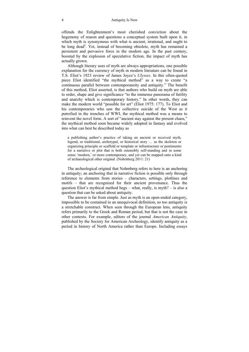offends the Enlightenment's most cherished conviction about the hegemony of reason and questions a conceptual system built upon it, in which myth is synonymous with what is ancient, irrational, and ought to be long dead<sup>2</sup>. Yet, instead of becoming obsolete, myth has remained a persistent and pervasive force in the modern age. In the past century, boosted by the explosion of speculative fiction, the impact of myth has actually grown.

Although literary uses of myth are always appropriations, one possible explanation for the currency of myth in modern literature can be found in T.S. Eliot's 1923 review of James Joyce's *Ulysses*. In this often-quoted piece Eliot identified "the mythical method" as a way to create "a continuous parallel between contemporaneity and antiquity." The benefit of this method, Eliot asserted, is that authors who build on myth are able to order, shape and give significance "to the immense panorama of futility and anarchy which is contemporary history." In other words, they can make the modern world "possible for art" (Eliot 1975: 177). To Eliot and his contemporaries who saw the collective suicide of the West as it putrefied in the trenches of WWI, the mythical method was a means to reinvent the novel form. A sort of "ancient stay against the present chaos," the mythical method soon became widely adopted in fantasy and evolved into what can best be described today as

a publishing author's practice of taking an ancient or received myth, legend, or traditional, archetypal, or historical story … as the skeleton or organizing principle or scaffold or template or infrastructure or pentimento for a narrative or plot that is both ostensibly self-standing and in some sense 'modern,' or more contemporary, and yet can be mapped onto a kind of archaeological other original. (Nohrnberg 2011: 21)

The archeological original that Nohrnberg refers to here is an anchoring in antiquity; an anchoring that in narrative fiction is possible only through reference to elements from stories – characters, settings, plotlines and motifs – that are recognized for their ancient provenance. Thus the question Eliot's mythical method begs – what, really, is myth? – is also a question that can be asked about antiquity.

The answer is far from simple. Just as myth is an open-ended category, impossible to be contained in an unequivocal definition, so too antiquity is a stretchable construct. When seen through the European lens, antiquity refers primarily to the Greek and Roman period, but that is not the case in other contexts. For example, editors of the journal *American Antiquity*, published by the Society for American Archeology, identify antiquity as a period in history of North America rather than Europe. Including essays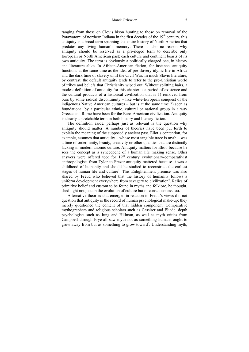#### Marek Oziewicz 5

ranging from those on Clovis bison hunting to those on removal of the Potawatomi of northern Indiana in the first decades of the  $19<sup>th</sup>$  century, this antiquity is a broad term spanning the entire history of North America that predates any living human's memory. There is also no reason why antiquity should be reserved as a privileged term to describe only European or North American past; each culture and continent boasts of its own antiquity. The term is obviously a politically charged one, in history and literature alike. In African-American fiction, for instance, antiquity functions at the same time as the idea of pre-slavery idyllic life in Africa and the dark time of slavery until the Civil War. In much Slavic literature, by contrast, the default antiquity tends to refer to the pre-Christian world of tribes and beliefs that Christianity wiped out. Without splitting hairs, a modest definition of antiquity for this chapter is a period of existence and the cultural products of a historical civilization that is 1) removed from ours by some radical discontinuity – like white-European conquest of the indigenous Native American cultures – but is at the same time 2) seen as foundational by a particular ethnic, cultural or national group in a way Greece and Rome have been for the Euro-American civilization. Antiquity is clearly a stretchable term in both history and literary fiction.

The definition aside, perhaps just as relevant is the question why antiquity should matter. A number of theories have been put forth to explain the meaning of the supposedly ancient past. Eliot's contention, for example, assumes that antiquity – whose most tangible trace is myth – was a time of order, unity, beauty, creativity or other qualities that are distinctly lacking in modern anomic culture. Antiquity matters for Eliot, because he sees the concept as a synecdoche of a human life making sense. Other answers were offered too: for  $19<sup>th</sup>$  century evolutionary-comparativist anthropologists from Tylor to Frazer antiquity mattered because it was a childhood of humanity and should be studied to reconstruct the earliest stages of human life and culture<sup>3</sup>. This Enlightenment premise was also shared by Freud who believed that the history of humanity follows a uniform development everywhere from savagery to civilization<sup>4</sup>. Relics of primitive belief and custom to be found in myths and folklore, he thought, shed light not just on the evolution of culture but of consciousness too.

Alternative theories that emerged in reaction to Freud's views did not question that antiquity is the record of human psychological make-up; they merely questioned the content of that hidden component. Comparative mythographers and religious scholars such as Cassirer and Eliade, depth psychologists such as Jung and Hillman, as well as myth critics from Campbell through Frye all saw myth not as something humans ought to grow away from but as something to grow toward<sup>5</sup>. Understanding myth,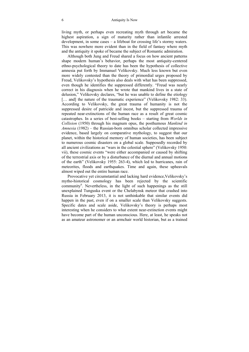living myth, or perhaps even recreating myth through art became the highest aspiration, a sign of maturity rather than infantile arrested development, in some cases – a lifeboat for crossing life's stormy waters. This was nowhere more evident than in the field of fantasy where myth and the antiquity it spoke of became the subject of Romantic admiration.

Although both Jung and Freud shared a focus on how ancient patterns shape modern human's behavior, perhaps the most antiquity-centered ethno-psychological theory to date has been the hypothesis of collective amnesia put forth by Immanuel Velikovsky. Much less known but even more widely contested than the theory of primordial urges proposed by Freud, Velikovsky's hypothesis also deals with what has been suppressed, even though he identifies the suppressed differently. "Freud was nearly correct in his diagnosis when he wrote that mankind lives in a state of delusion," Velikovsky declares, "but he was unable to define the etiology [... and] the nature of the traumatic experience" (Velikovsky 1982: 33). According to Velikovsky, the great trauma of humanity is not the suppressed desire of patricide and incest, but the suppressed trauma of repeated near-extinctions of the human race as a result of great cosmic catastrophes. In a series of best-selling books – starting from *Worlds in Collision* (1950) through his magnum opus, the posthumous *Mankind in Amnesia* (1982) – the Russian-born omnibus scholar collected impressive evidence, based largely on comparative mythology, to suggest that our planet, within the historical memory of human societies, has been subject to numerous cosmic disasters on a global scale. Supposedly recorded by all ancient civilizations as "wars in the celestial sphere" (Velikovsky 1950: vii), these cosmic events "were either accompanied or caused by shifting of the terrestrial axis or by a disturbance of the diurnal and annual motions of the earth" (Velikovsky 1955: 263-4), which led to hurricanes, rain of meteorites, floods and earthquakes. Time and again, these upheavals almost wiped out the entire human race.

Provocative yet circumstantial and lacking hard evidence,Velikovsky's mytho-historical cosmology has been rejected by the scientific community<sup>6</sup>. Nevertheless, in the light of such happenings as the still unexplained Tunguska event or the Chelabynsk meteor that crashed into Russia in February 2013, it is not unthinkable that similar events did happen in the past, even if on a smaller scale than Velikovsky suggests. Specific dates and scale aside, Velikovsky's theory is perhaps most interesting when he considers to what extent near-extinction events might have become part of the human unconscious. Here, at least, he speaks not as an amateur astronomer or an armchair world historian, but as a trained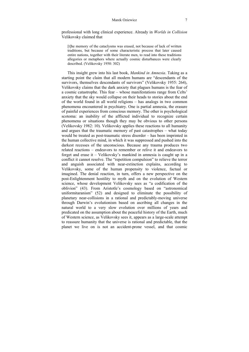professional with long clinical experience. Already in *Worlds in Collision* Velikovsky claimed that

[t]he memory of the cataclysms was erased, not because of lack of written traditions, but because of some characteristic process that later caused entire nations, together with their literate men, to read into these traditions allegories or metaphors where actually cosmic disturbances were clearly described. (Velikovsky 1950: 302)

This insight grew into his last book, *Mankind in Amnesia*. Taking as a starting point the claim that all modern humans are "descendants of the survivors, themselves descendants of survivors" (Velikovsky 1955: 264), Velikovsky claims that the dark anxiety that plagues humans is the fear of a cosmic catastrophe. This fear – whose manifestations range from Celts' anxiety that the sky would collapse on their heads to stories about the end of the world found in all world religions – has analogs in two common phenomena encountered in psychiatry. One is partial amnesia, the erasure of painful experiences from conscious memory. The other is psychological scotoma: an inability of the afflicted individual to recognize certain phenomena or situations though they may be obvious to other persons (Velikovsky 1982: 10). Velikovsky applies these reactions to all humanity and argues that the traumatic memory of past catastrophes – what today would be treated as post-traumatic stress disorder – has been imprinted in the human collective mind, in which it was suppressed and pushed into the darkest recesses of the unconscious. Because any trauma produces two related reactions – endeavors to remember or relive it and endeavors to forget and erase it – Velikovsky's mankind in amnesia is caught up in a conflict it cannot resolve. The "repetition compulsion" to relieve the terror and anguish associated with near-extinction explains, according to Velikovsky, some of the human propensity to violence, factual or imagined. The denial reaction, in turn, offers a new perspective on the post-Enlightenment hostility to myth and on the evolution of Western science, whose development Velikovsky sees as "a codification of the oblivion" (43). From Aristotle's cosmology based on "astronomical uniformitaranism" (52) and designed to eliminate the possibility of planetary near-collisions in a rational and predictably-moving universe through Darwin's evolutionism based on ascribing all changes in the natural world to a very slow evolution over millions of years and predicated on the assumption about the peaceful history of the Earth, much of Western science, as Velikovsky sees it, appears as a large-scale attempt to reassure humanity that the universe is rational and predictable, that the planet we live on is not an accident-prone vessel, and that cosmic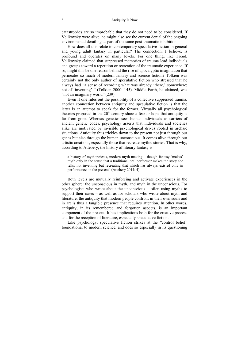catastrophes are so improbable that they do not need to be considered. If Velikovsky were alive, he might also see the current denial of the ongoing environmental derailing as part of the same post-traumatic inhibition.

How does all this relate to contemporary speculative fiction in general and young adult fantasy in particular? The connection, I believe, is profound and operates on many levels. For one thing, like Freud, Velikovsky claimed that suppressed memories of trauma lead individuals and groups toward a repetition or recreation of the traumatic experience. If so, might this be one reason behind the rise of apocalyptic imagination that permeates so much of modern fantasy and science fiction? Tolkien was certainly not the only author of speculative fiction who stressed that he always had "a sense of recording what was already 'there,' somewhere; not of 'inventing' " (Tolkien 2000: 145). Middle-Earth, he claimed, was "not an imaginary world" (239).

Even if one rules out the possibility of a collective suppressed trauma, another connection between antiquity and speculative fiction is that the latter is an attempt to speak for the former. Virtually all psychological theories proposed in the  $20<sup>th</sup>$  century share a fear or hope that antiquity is far from gone. Whereas genetics sees human individuals as carriers of ancient genetic codes, psychology asserts that individuals and societies alike are motivated by invisible psychological drives rooted in archaic situations. Antiquity thus trickles down to the present not just through our genes but also through the human unconscious. It comes alive through our artistic creations, especially those that recreate mythic stories. That is why, according to Attebery, the history of literary fantasy is

a history of mythopoiesis, modern myth-making – though fantasy 'makes' myth only in the sense that a traditional oral performer makes the story she tells: not inventing but recreating that which has always existed only in performance, in the present" (Attebery 2014: 4).

Both levels are mutually reinforcing and activate experiences in the other sphere: the unconscious in myth, and myth in the unconscious. For psychologists who wrote about the unconscious – often using myths to support their cases – as well as for scholars who wrote about myth and literature, the antiquity that modern people confront in their own souls and in art is thus a tangible presence that requires attention. In other words, antiquity, in its remembered and forgotten aspects, is an important component of the present. It has implications both for the creative process and for the reception of literature, especially speculative fiction.

Like psychology, speculative fiction strikes at the "control belief" foundational to modern science, and does so especially in its questioning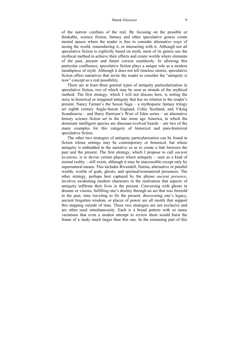#### Marek Oziewicz 9

of the narrow confines of the real. By focusing on the possible or thinkable, science fiction, fantasy and other speculative genres create mental spaces where the reader is free to consider alternative ways of seeing the world, remembering it, or interacting with it. Although not all speculative fiction is explicitly based on myth, most of its genres use the mythical method to achieve their effects and create worlds where elements of the past, present and future coexist seamlessly. In allowing this particular confluence, speculative fiction plays a unique role as a modern mouthpiece of myth. Although it does not tell timeless stories, speculative fiction offers narratives that invite the reader to consider the "antiquity is now" concept as a real possibility.

There are at least three general types of antiquity particularization in speculative fiction, two of which may be seen as strands of the mythical method. The first strategy, which I will not discuss here, is setting the story in historical or imagined antiquity that has no relation to the reader's present. Nancy Farmer's the Saxon Saga – a mythopoeic fantasy trilogy set eighth century Anglo-Saxon England, Celtic Scotland, and Viking Scandinavia – and Harry Harrison's West of Eden series – an alternative history science fiction set in the late stone age America, in which the dominant intelligent species are dinosaur-evolved lizards – are two of the many examples for this category of historical and para-historical speculative fiction.

The other two strategies of antiquity particularization can be found in fiction whose settings may be contemporary or historical, but where antiquity is embedded in the narrative so as to create a link between the past and the present. The first strategy, which I propose to call *ancient locations*, is to devise certain places where antiquity – seen as a kind of eternal reality – still exists, although it may be inaccessible except only by supernatural means. This includes Rivendell, Narnia, alternative or parallel worlds, worlds of gods, ghosts, and spiritual/nonmaterial presences. The other strategy, perhaps best captured by the phrase *ancient presence*, involves awakening modern characters to the realization that aspects of antiquity infiltrate their lives in the present. Conversing with ghosts in dreams or visions, fulfilling one's destiny through an act that was foretold in the past, time traveling to fix the present, discovering one's legacy, ancient forgotten wisdom, or places of power are all motifs that support this stepping outside of time. These two strategies are not exclusive and are often used simultaneously. Each is a broad pattern with so many variations that even a modest attempt to review them would burst the frame of a study much larger than this one. In the remaining part of this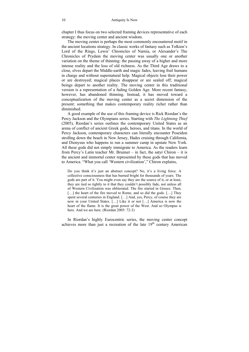chapter I thus focus on two selected framing devices representative of each strategy: the moving center and ancient wisdom.

The moving center is perhaps the most commonly encountered motif in the ancient locations strategy. In classic works of fantasy such as Tolkien's Lord of the Rings, Lewis' Chronicles of Narnia, or Alexander's The Chronicles of Prydain the moving center was usually one or another variation on the theme of thinning: the passing away of a higher and more intense reality and the loss of old richness. As the Third Age draws to a close, elves depart the Middle-earth and magic fades, leaving frail humans in charge and without supernatural help. Magical objects lose their power or are destroyed; magical places disappear or are sealed off; magical beings depart to another reality. The moving center in this traditional version is a representation of a fading Golden Age. More recent fantasy, however, has abandoned thinning. Instead, it has moved toward a conceptualization of the moving center as a secret dimension of the present: something that makes contemporary reality richer rather than diminished.

A good example of the use of this framing device is Rick Riordan's the Percy Jackson and the Olympians series. Starting with *The Lightning Thief* (2005), Riordan's series outlines the contemporary United States as an arena of conflict of ancient Greek gods, heroes, and titans. In the world of Percy Jackson, contemporary characters can literally encounter Poseidon strolling down the beach in New Jersey, Hades cruising through California, and Dionysus who happens to run a summer camp in upstate New York. All these gods did not simply immigrate to America. As the readers learn from Percy's Latin teacher Mr. Brunner – in fact, the satyr Chiron – it is the ancient and immortal center represented by these gods that has moved to America. "What you call 'Western civilization'," Chiron explains,

Do you think it's just an abstract concept? No, it's a living force. A collective consciousness that has burned bright for thousands of years. The gods are part of it. You might even say they are the source of it, or at least, they are tied so tightly to it that they couldn't possibly fade, not unless all of Western Civilization was obliterated. The fire started in Greece. Then, [...] the heart of the fire moved to Rome, and so did the gods. [...] They spent several centuries in England. […] And, yes, Percy, of course they are now in your United States. […] Like it or not […] America is now the heart of the flame. It is the great power of the West. And so Olympus is here. And we are here. (Riordan 2005: 72-3)

In Riordan's highly Eurocentric series, the moving center concept achieves more than just a recreation of the late  $19<sup>th</sup>$  century American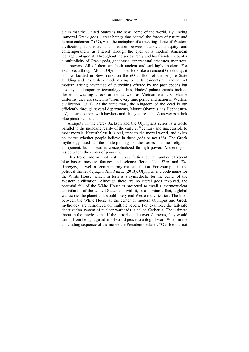#### Marek Oziewicz 11

claim that the United States is the new Rome of the world. By linking immortal Greek gods, "great beings that control the forces of nature and human endeavors" (67), with the metaphor of a traveling flame of Western civilization, it creates a connection between classical antiquity and contemporaneity as filtered through the eyes of a modern American teenage protagonist. Throughout the series Percy and his friends encounter a multiplicity of Greek gods, goddesses, supernatural creatures, monsters, and powers. All of them are both ancient and strikingly modern. For example, although Mount Olympus does look like an ancient Greek city, it is now located in New York, on the 600th floor of the Empire State Building and has a sleek modern zing to it. Its residents are ancient yet modern, taking advantage of everything offered by the past epochs but also by contemporary technology. Thus, Hades' palace guards include skeletons wearing Greek armor as well as Vietnam-era U.S. Marine uniforms; they are skeletons "from every time period and nation in Western civilization" (311). At the same time, the Kingdom of the dead is run efficiently through several departments, Mount Olympus has Hephaestus-TV, its streets teem with hawkers and flashy stores, and Zeus wears a dark blue pinstriped suit.

Antiquity in the Percy Jackson and the Olympians series is a world parallel to the mundane reality of the early  $21<sup>st</sup>$  century and inaccessible to most mortals. Nevertheless it is real, impacts the mortal world, and exists no matter whether people believe in these gods or not (68). The Greek mythology used as the underpinning of the series has no religious component, but instead is conceptualized through power. Ancient gods reside where the center of power is.

This trope informs not just literary fiction but a number of recent blockbuster movies: fantasy and science fiction like *Thor* and *The Avengers*, as well as contemporary realistic fiction. For example, in the political thriller *Olympus Has Fallen* (2013), Olympus is a code name for the White House, which in turn is a synecdoche for the center of the Western civilization. Although there are no literal gods involved, the potential fall of the White House is projected to entail a thermonuclear annihilation of the United States and with it, in a domino effect, a global war across the planet that would likely end Western civilization. The links between the White House as the center or modern Olympus and Greek mythology are reinforced on multiple levels. For example, the fail-safe deactivation system of nuclear warheads is called Cerberus. The ultimate threat in the movie is that if the terrorists take over Cerberus, they would turn it from being a guardian of world peace to a dog of war.. When in the concluding sequence of the movie the President declares, "Our foe did not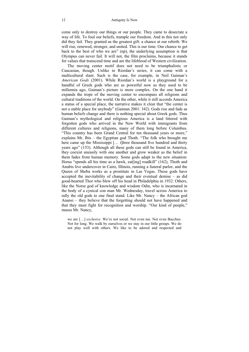come only to destroy our things or our people. They came to desecrate a way of life. To foul our beliefs, trample our freedom. And in this not only did they fail. They granted us the greatest gift: a chance at our rebirth. We will rise, renewed, stronger, and united. This is our time. Our chance to get back to the best of who we are" (np), the underlying assumption is that Olympus can never fail. It will not, the film proclaims, because it stands for values that transcend time and are the lifeblood of Western civilization.

The moving center motif does not need to be triumphalistic or Caucasian, though. Unlike in Riordan's series, it can come with a multicultural slant. Such is the case, for example, in Neil Gaiman's *American Gods* (2001). While Riordan's world is a playground for a handful of Greek gods who are as powerful now as they used to be millennia ago, Gaiman's picture is more complex. On the one hand it expands the trope of the moving center to encompass all religions and cultural traditions of the world. On the other, while it still accords America a status of a special place, the narrative makes it clear that "the center is not a stable place for anybody" (Gaiman 2001: 342). Gods rise and fade as human beliefs change and there is nothing special about Greek gods. Thus Gaiman's mythological and religious America is a land littered with forgotten gods who arrived in the New World with immigrants from different cultures and religions, many of them long before Columbus. "This country has been Grand Central for ten thousand years or more," explains Mr. Ibis – the Egyptian god Thoth. "The folk who brought me here came up the Mississippi [... t]hree thousand five hundred and thirty years ago" (153). Although all these gods can still be found in America, they coexist uneasily with one another and grow weaker as the belief in them fades from human memory. Some gods adapt to the new situation: Horus "spends all his time as a hawk, eat [ing] roadkill" (162), Thoth and Anubis live undercover in Cairo, Illinois, running a funeral parlor, and the Queen of Sheba works as a prostitute in Las Vegas. These gods have accepted the inevitability of change and their eventual demise – as did good-hearted Thor who blew off his head in Philadelphia in 1932. Others, like the Norse god of knowledge and wisdom Odin, who is incarnated in the body of a cynical con man Mr. Wednesday, travel across America to rally the old gods to one final stand. Like Mr. Nancy – the African god Anansi – they believe that the forgetting should not have happened and that they must fight for recognition and worship. "Our kind of people," muses Mr. Nancy,

we are […] *exclusive*. We're not social. Not even me. Not even Bacchus. Not for long. We walk by ourselves or we stay in our little groups. We do not play well with others. We like to be adored and respected and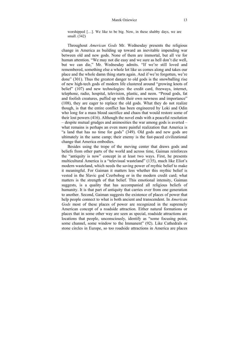worshipped […]. We like to be big. Now, in these shabby days, we are small. (342)

Throughout *American Gods* Mr. Wednesday presents the religious change in America as building up toward an inevitable impending war between old and new gods. None of them are immortal, but all vie for human attention. "We may not die easy and we sure as hell don't die well, but we can die," Mr. Wednesday admits. "If we're still loved and remembered, something else a whole lot like us comes along and takes our place and the whole damn thing starts again. And if we're forgotten, we're done" (301). Thus the greatest danger to old gods is the snowballing rise of new high-tech gods of modern life clustered around "growing knots of belief" (107) and new technologies: the credit card, freeways, internet, telephone, radio, hospital, television, plastic, and neon. "Proud gods, fat and foolish creatures, puffed up with their own newness and importance" (108), they are eager to replace the old gods. What they do not realize though, is that the entire conflict has been engineered by Loki and Odin who long for a mass blood sacrifice and chaos that would restore some of their lost powers (416). Although the novel ends with a peaceful resolution – despite mutual grudges and animosities the war among gods is averted – what remains is perhaps an even more painful realization that America is "a land that has no time for gods" (349). Old gods and new gods are ultimately in the same camp; their enemy is the fast-paced civilizational change that America embodies.

Besides using the trope of the moving center that draws gods and beliefs from other parts of the world and across time, Gaiman reinforces the "antiquity is now" concept in at least two ways. First, he presents multicultural America is a "televisual wasteland" (135), much like Eliot's modern wasteland, which needs the saving power of mythic belief to make it meaningful. For Gaiman it matters less whether this mythic belief is vested in the Slavic god Czerbobog or in the modern credit card; what matters is the strength of that belief. This emotional intensity, Gaiman suggests, is a quality that has accompanied all religious beliefs of humanity. It is that part of antiquity that carries over from one generation to another. Second, Gaiman suggests the existence of places of power that help people connect to what is both ancient and transcendent. In *American Gods* most of these places of power are recognized in the supremely American concept of a roadside attraction. Either natural formations or places that in some other way are seen as special, roadside attractions are locations that people, unconsciously, identify as "some focusing point, some channel, some window to the Immanent" (92). Like Cathedrals or stone circles in Europe, so too roadside attractions in America are places